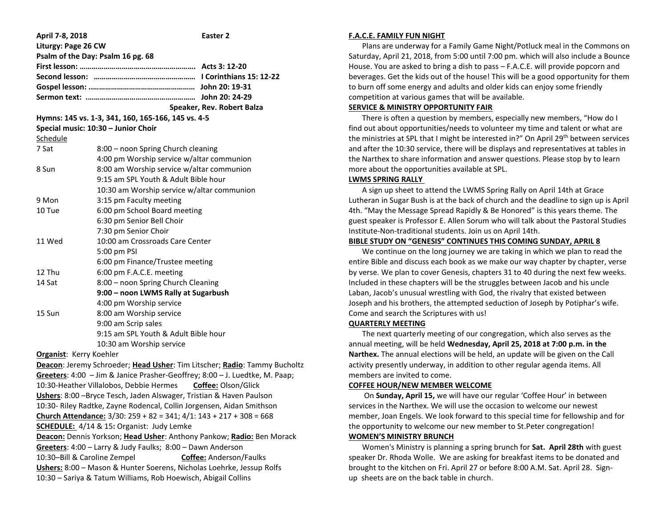| April 7-8, 2018                                                                       | Easter <sub>2</sub>                        |
|---------------------------------------------------------------------------------------|--------------------------------------------|
| Liturgy: Page 26 CW                                                                   |                                            |
| Psalm of the Day: Psalm 16 pg. 68                                                     |                                            |
|                                                                                       |                                            |
|                                                                                       |                                            |
|                                                                                       |                                            |
|                                                                                       |                                            |
|                                                                                       | Speaker, Rev. Robert Balza                 |
| Hymns: 145 vs. 1-3, 341, 160, 165-166, 145 vs. 4-5                                    |                                            |
| Special music: 10:30 - Junior Choir                                                   |                                            |
| Schedule                                                                              |                                            |
| 7 Sat                                                                                 | 8:00 - noon Spring Church cleaning         |
|                                                                                       | 4:00 pm Worship service w/altar communion  |
| 8 Sun                                                                                 | 8:00 am Worship service w/altar communion  |
|                                                                                       | 9:15 am SPL Youth & Adult Bible hour       |
|                                                                                       | 10:30 am Worship service w/altar communion |
| 9 Mon                                                                                 | 3:15 pm Faculty meeting                    |
| 10 Tue                                                                                | 6:00 pm School Board meeting               |
|                                                                                       | 6:30 pm Senior Bell Choir                  |
|                                                                                       | 7:30 pm Senior Choir                       |
| 11 Wed                                                                                | 10:00 am Crossroads Care Center            |
|                                                                                       | 5:00 pm PSI                                |
|                                                                                       | 6:00 pm Finance/Trustee meeting            |
| 12 Thu                                                                                | 6:00 pm F.A.C.E. meeting                   |
| 14 Sat                                                                                | 8:00 - noon Spring Church Cleaning         |
|                                                                                       | 9:00 - noon LWMS Rally at Sugarbush        |
|                                                                                       | 4:00 pm Worship service                    |
| 15 Sun                                                                                | 8:00 am Worship service                    |
|                                                                                       | 9:00 am Scrip sales                        |
|                                                                                       | 9:15 am SPL Youth & Adult Bible hour       |
|                                                                                       | 10:30 am Worship service                   |
| Organist: Kerry Koehler                                                               |                                            |
| Deacon: Jeremy Schroeder; Head Usher: Tim Litscher; Radio: Tammy Bucholtz             |                                            |
| Greeters: 4:00 - Jim & Janice Prasher-Geoffrey; 8:00 - J. Luedtke, M. Paap;           |                                            |
| 10:30-Heather Villalobos, Debbie Hermes<br>Coffee: Olson/Glick                        |                                            |
| Ushers: 8:00 - Bryce Tesch, Jaden Alswager, Tristian & Haven Paulson                  |                                            |
| 10:30- Riley Radtke, Zayne Rodencal, Collin Jorgensen, Aidan Smithson                 |                                            |
| <b>Church Attendance:</b> $3/30$ : $259 + 82 = 341$ ; $4/1$ : $143 + 217 + 308 = 668$ |                                            |
| SCHEDULE: 4/14 & 15: Organist: Judy Lemke                                             |                                            |
| Deacon: Dennis Yorkson; Head Usher: Anthony Pankow; Radio: Ben Morack                 |                                            |
| Greeters: 4:00 - Larry & Judy Faulks; 8:00 - Dawn Anderson                            |                                            |
| 10:30-Bill & Caroline Zempel<br>Coffee: Anderson/Faulks                               |                                            |
| Ushers: 8:00 - Mason & Hunter Soerens, Nicholas Loehrke, Jessup Rolfs                 |                                            |
| 10:30 - Sariya & Tatum Williams, Rob Hoewisch, Abigail Collins                        |                                            |

## **F.A.C.E. FAMILY FUN NIGHT**

 Plans are underway for a Family Game Night/Potluck meal in the Commons on Saturday, April 21, 2018, from 5:00 until 7:00 pm. which will also include a Bounce House. You are asked to bring a dish to pass – F.A.C.E. will provide popcorn and beverages. Get the kids out of the house! This will be a good opportunity for them to burn off some energy and adults and older kids can enjoy some friendly competition at various games that will be available.

# **SERVICE & MINISTRY OPPORTUNITY FAIR**

 There is often a question by members, especially new members, "How do I find out about opportunities/needs to volunteer my time and talent or what are the ministries at SPL that I might be interested in?" On April 29th between services and after the 10:30 service, there will be displays and representatives at tables in the Narthex to share information and answer questions. Please stop by to learn more about the opportunities available at SPL.

## **LWMS SPRING RALLY**

 A sign up sheet to attend the LWMS Spring Rally on April 14th at Grace Lutheran in Sugar Bush is at the back of church and the deadline to sign up is April 4th. "May the Message Spread Rapidly & Be Honored" is this years theme. The guest speaker is Professor E. Allen Sorum who will talk about the Pastoral Studies Institute-Non-traditional students. Join us on April 14th.

## **BIBLE STUDY ON "GENESIS" CONTINUES THIS COMING SUNDAY, APRIL 8**

 We continue on the long journey we are taking in which we plan to read the entire Bible and discuss each book as we make our way chapter by chapter, verse by verse. We plan to cover Genesis, chapters 31 to 40 during the next few weeks. Included in these chapters will be the struggles between Jacob and his uncle Laban, Jacob's unusual wrestling with God, the rivalry that existed between Joseph and his brothers, the attempted seduction of Joseph by Potiphar's wife. Come and search the Scriptures with us!

#### **QUARTERLY MEETING**

 The next quarterly meeting of our congregation, which also serves as the annual meeting, will be held **Wednesday, April 25, 2018 at 7:00 p.m. in the Narthex.** The annual elections will be held, an update will be given on the Call activity presently underway, in addition to other regular agenda items. All members are invited to come.

## **COFFEE HOUR/NEW MEMBER WELCOME**

 On **Sunday, April 15,** we will have our regular 'Coffee Hour' in between services in the Narthex. We will use the occasion to welcome our newest member, Joan Engels. We look forward to this special time for fellowship and for the opportunity to welcome our new member to St.Peter congregation! **WOMEN'S MINISTRY BRUNCH**

 Women's Ministry is planning a spring brunch for **Sat. April 28th** with guest speaker Dr. Rhoda Wolle. We are asking for breakfast items to be donated and brought to the kitchen on Fri. April 27 or before 8:00 A.M. Sat. April 28. Signup sheets are on the back table in church.